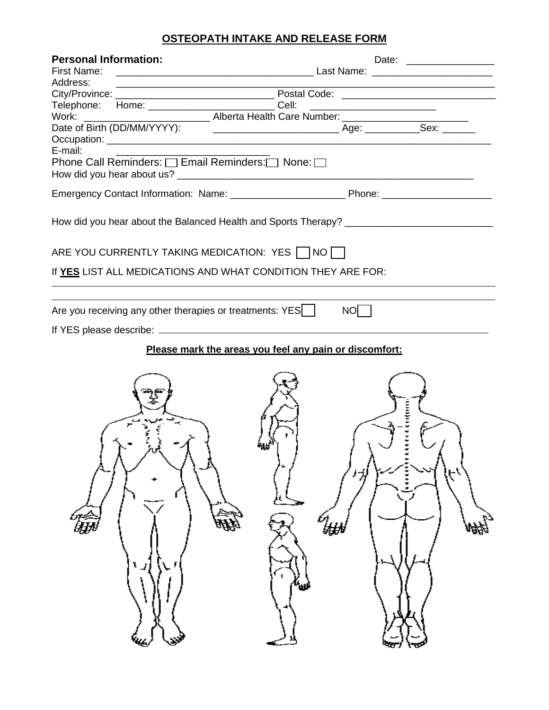# **OSTEOPATH INTAKE AND RELEASE FORM**

| <b>Personal Information:</b>                                 |                                                                                                                                                                                                                                |  |  |  |  |
|--------------------------------------------------------------|--------------------------------------------------------------------------------------------------------------------------------------------------------------------------------------------------------------------------------|--|--|--|--|
|                                                              |                                                                                                                                                                                                                                |  |  |  |  |
| Address:                                                     |                                                                                                                                                                                                                                |  |  |  |  |
|                                                              |                                                                                                                                                                                                                                |  |  |  |  |
|                                                              | Telephone: Home: _____________________________Cell: ____________________________                                                                                                                                               |  |  |  |  |
|                                                              | Work: Work: Work: Maria Health Care Number: Maria Health Care Number: Maria Health Care Number: Maria Health Care Number: Maria Health Care Number: Maria Health Care Number: Maria Health Care Number: Maria Health Care Numb |  |  |  |  |
|                                                              |                                                                                                                                                                                                                                |  |  |  |  |
| E-mail:                                                      |                                                                                                                                                                                                                                |  |  |  |  |
|                                                              |                                                                                                                                                                                                                                |  |  |  |  |
|                                                              |                                                                                                                                                                                                                                |  |  |  |  |
|                                                              |                                                                                                                                                                                                                                |  |  |  |  |
|                                                              |                                                                                                                                                                                                                                |  |  |  |  |
| ARE YOU CURRENTLY TAKING MEDICATION: YES   NO                |                                                                                                                                                                                                                                |  |  |  |  |
| If YES LIST ALL MEDICATIONS AND WHAT CONDITION THEY ARE FOR: |                                                                                                                                                                                                                                |  |  |  |  |
| Are you receiving any other therapies or treatments: YES     | NOT                                                                                                                                                                                                                            |  |  |  |  |
|                                                              |                                                                                                                                                                                                                                |  |  |  |  |
|                                                              |                                                                                                                                                                                                                                |  |  |  |  |
|                                                              | Please mark the areas you feel any pain or discomfort:                                                                                                                                                                         |  |  |  |  |
|                                                              |                                                                                                                                                                                                                                |  |  |  |  |
|                                                              | 1.1111111111<br>姫<br>峨<br>W                                                                                                                                                                                                    |  |  |  |  |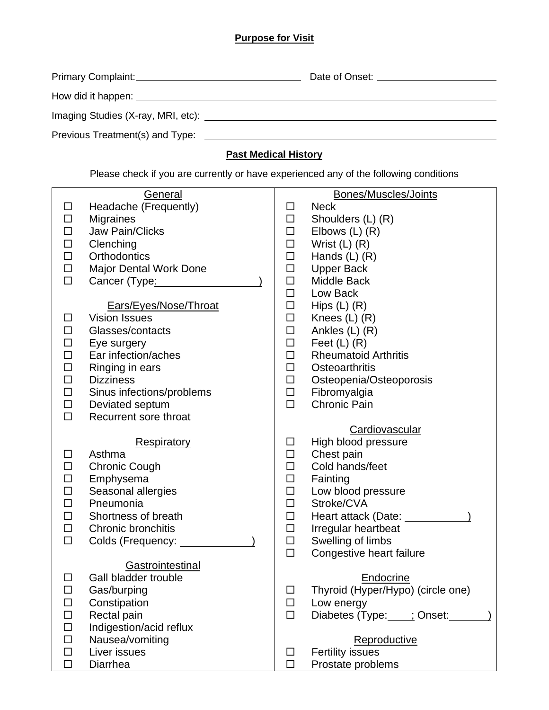## **Purpose for Visit**

|                                             | Date of Onset: |
|---------------------------------------------|----------------|
|                                             |                |
| Imaging Studies (X-ray, MRI, etc): ________ |                |
| Previous Treatment(s) and Type:             |                |

# **Past Medical History**

Please check if you are currently or have experienced any of the following conditions

|        | General                             |        | Bones/Muscles/Joints                            |
|--------|-------------------------------------|--------|-------------------------------------------------|
| □      | Headache (Frequently)               | □      | <b>Neck</b>                                     |
| □      | Migraines                           | $\Box$ | Shoulders (L) (R)                               |
|        | <b>Jaw Pain/Clicks</b>              | □      | Elbows $(L)$ $(R)$                              |
| □      | Clenching                           | $\Box$ | Wrist $(L)$ $(R)$                               |
| □      | <b>Orthodontics</b>                 | $\Box$ | Hands $(L)$ $(R)$                               |
| □      | Major Dental Work Done              | $\Box$ | <b>Upper Back</b>                               |
| $\Box$ | Cancer (Type:                       | □      | <b>Middle Back</b>                              |
|        |                                     | $\Box$ | Low Back                                        |
|        | Ears/Eyes/Nose/Throat               | $\Box$ |                                                 |
| H      | <b>Vision Issues</b>                | $\Box$ | Hips $(L)$ $(R)$<br>Knees $(L)$ $(R)$           |
|        | Glasses/contacts                    | $\Box$ | Ankles (L) (R)                                  |
|        |                                     | $\Box$ |                                                 |
| □      | Eye surgery<br>Ear infection/aches  | $\Box$ | Feet $(L)$ $(R)$<br><b>Rheumatoid Arthritis</b> |
| ப<br>□ |                                     | $\Box$ | Osteoarthritis                                  |
|        | Ringing in ears<br><b>Dizziness</b> |        |                                                 |
| □      |                                     | $\Box$ | Osteopenia/Osteoporosis                         |
| □      | Sinus infections/problems           | $\Box$ | Fibromyalgia<br><b>Chronic Pain</b>             |
| □      | Deviated septum                     | $\Box$ |                                                 |
| $\Box$ | Recurrent sore throat               |        |                                                 |
|        |                                     |        | Cardiovascular                                  |
|        | <b>Respiratory</b>                  | □      | High blood pressure                             |
| П      | Asthma                              | $\Box$ | Chest pain                                      |
| □      | <b>Chronic Cough</b>                | $\Box$ | Cold hands/feet                                 |
| $\Box$ | Emphysema                           | $\Box$ | Fainting                                        |
| □      | Seasonal allergies                  | $\Box$ | Low blood pressure                              |
| □      | Pneumonia                           | $\Box$ | Stroke/CVA                                      |
| □      | Shortness of breath                 | $\Box$ | Heart attack (Date:                             |
| □      | Chronic bronchitis                  | □      | Irregular heartbeat                             |
| $\Box$ | Colds (Frequency: _                 | $\Box$ | Swelling of limbs                               |
|        |                                     | $\Box$ | Congestive heart failure                        |
|        | Gastrointestinal                    |        |                                                 |
| □      | Gall bladder trouble                |        | Endocrine                                       |
| □      | Gas/burping                         | □      | Thyroid (Hyper/Hypo) (circle one)               |
|        | Constipation                        | $\Box$ | Low energy                                      |
|        | Rectal pain                         | $\Box$ | Diabetes (Type: : Onset:                        |
| □      | Indigestion/acid reflux             |        |                                                 |
|        | Nausea/vomiting                     |        | Reproductive                                    |
| П      | Liver issues                        | □      | <b>Fertility issues</b>                         |
| □      | Diarrhea                            | $\Box$ | Prostate problems                               |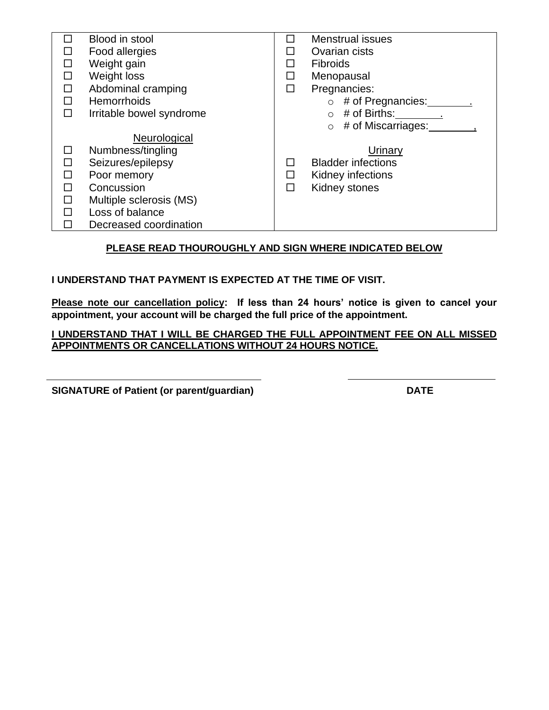| Blood in stool           | ΙI | <b>Menstrual issues</b>       |
|--------------------------|----|-------------------------------|
| Food allergies           | П  | Ovarian cists                 |
| Weight gain              | П  | <b>Fibroids</b>               |
| Weight loss              | □  | Menopausal                    |
| Abdominal cramping       | □  | Pregnancies:                  |
| Hemorrhoids              |    | # of Pregnancies:<br>$\circ$  |
| Irritable bowel syndrome |    | # of Births:<br>$\circ$       |
|                          |    | # of Miscarriages:<br>$\circ$ |
| Neurological             |    |                               |
| Numbness/tingling        |    | Urinary                       |
| Seizures/epilepsy        | ப  | <b>Bladder infections</b>     |
| Poor memory              | П  | Kidney infections             |
| Concussion               | П  | Kidney stones                 |
| Multiple sclerosis (MS)  |    |                               |
| Loss of balance          |    |                               |
| Decreased coordination   |    |                               |

## **PLEASE READ THOUROUGHLY AND SIGN WHERE INDICATED BELOW**

### **I UNDERSTAND THAT PAYMENT IS EXPECTED AT THE TIME OF VISIT.**

**Please note our cancellation policy: If less than 24 hours' notice is given to cancel your appointment, your account will be charged the full price of the appointment.**

#### **I UNDERSTAND THAT I WILL BE CHARGED THE FULL APPOINTMENT FEE ON ALL MISSED APPOINTMENTS OR CANCELLATIONS WITHOUT 24 HOURS NOTICE.**

**SIGNATURE of Patient (or parent/guardian)** DATE